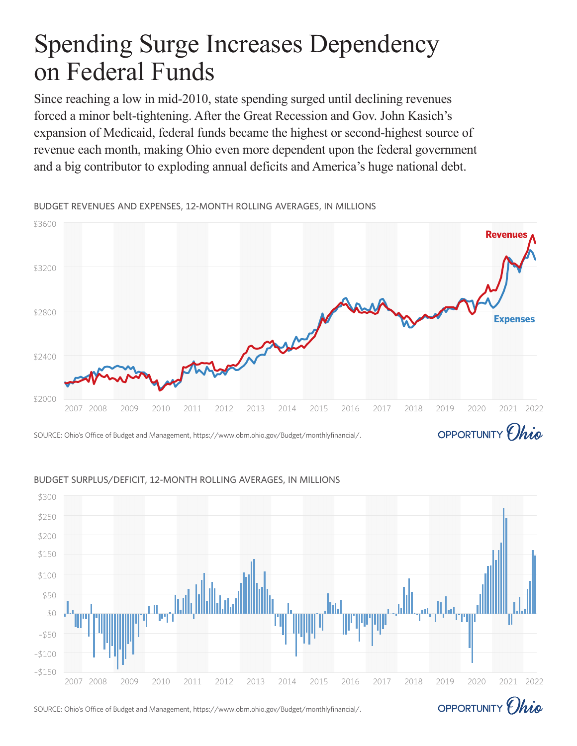# Spending Surge Increases Dependency on Federal Funds

Since reaching a low in mid-2010, state spending surged until declining revenues forced a minor belt-tightening. After the Great Recession and Gov. John Kasich's expansion of Medicaid, federal funds became the highest or second-highest source of revenue each month, making Ohio even more dependent upon the federal government and a big contributor to exploding annual deficits and America's huge national debt.

\$3600 **Revenues** \$3200 \$2800 **Expenses**\$2400 \$2000 2007 2008 2009 2010 2011 2012 2013 2014 2015 2016 2017 2018 2019 2020 2021 2022 OPPORTUNITY *Chio* 

BUDGET REVENUES AND EXPENSES, 12-MONTH ROLLING AVERAGES, IN MILLIONS

# SOURCE: Ohio's Office of Budget and Management, https://www.obm.ohio.gov/Budget/monthlyfinancial/.



#### BUDGET SURPLUS/DEFICIT, 12-MONTH ROLLING AVERAGES, IN MILLIONS

SOURCE: Ohio's Office of Budget and Management, https://www.obm.ohio.gov/Budget/monthlyfinancial/.